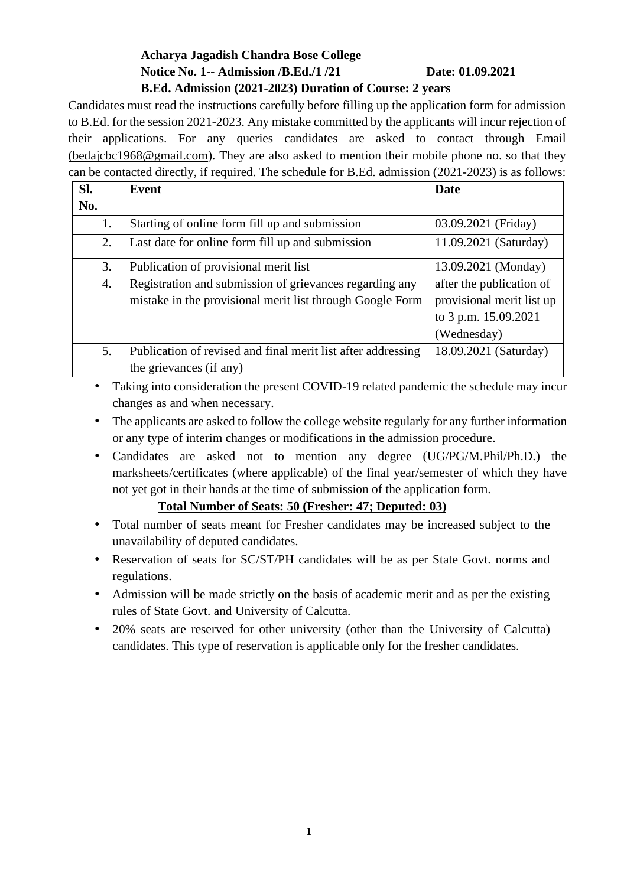### **Acharya Jagadish Chandra Bose College Notice No. 1-- Admission /B.Ed./1 /21 Date: 01.09.2021 B.Ed. Admission (2021-2023) Duration of Course: 2 years**

Candidates must read the instructions carefully before filling up the application form for admission to B.Ed. for the session 2021-2023. Any mistake committed by the applicants will incur rejection of their applications. For any queries candidates are asked to contact through Email [\(bedajcbc1968@gmail.com\)](mailto:bedajcbc1968@gmail.com). They are also asked to mention their mobile phone no. so that they can be contacted directly, if required. The schedule for B.Ed. admission (2021-2023) is as follows:

| SI. | Event                                                        | <b>Date</b>               |
|-----|--------------------------------------------------------------|---------------------------|
| No. |                                                              |                           |
| 1.  | Starting of online form fill up and submission               | 03.09.2021 (Friday)       |
| 2.  | Last date for online form fill up and submission             | 11.09.2021 (Saturday)     |
| 3.  | Publication of provisional merit list                        | 13.09.2021 (Monday)       |
| 4.  | Registration and submission of grievances regarding any      | after the publication of  |
|     | mistake in the provisional merit list through Google Form    | provisional merit list up |
|     |                                                              | to 3 p.m. 15.09.2021      |
|     |                                                              | (Wednesday)               |
| 5.  | Publication of revised and final merit list after addressing | 18.09.2021 (Saturday)     |
|     | the grievances (if any)                                      |                           |

- Taking into consideration the present COVID-19 related pandemic the schedule may incur changes as and when necessary.
- The applicants are asked to follow the college website regularly for any further information or any type of interim changes or modifications in the admission procedure.
- Candidates are asked not to mention any degree (UG/PG/M.Phil/Ph.D.) the marksheets/certificates (where applicable) of the final year/semester of which they have not yet got in their hands at the time of submission of the application form.

### **Total Number of Seats: 50 (Fresher: 47; Deputed: 03)**

- Total number of seats meant for Fresher candidates may be increased subject to the unavailability of deputed candidates.
- Reservation of seats for SC/ST/PH candidates will be as per State Govt. norms and regulations.
- Admission will be made strictly on the basis of academic merit and as per the existing rules of State Govt. and University of Calcutta.
- 20% seats are reserved for other university (other than the University of Calcutta) candidates. This type of reservation is applicable only for the fresher candidates.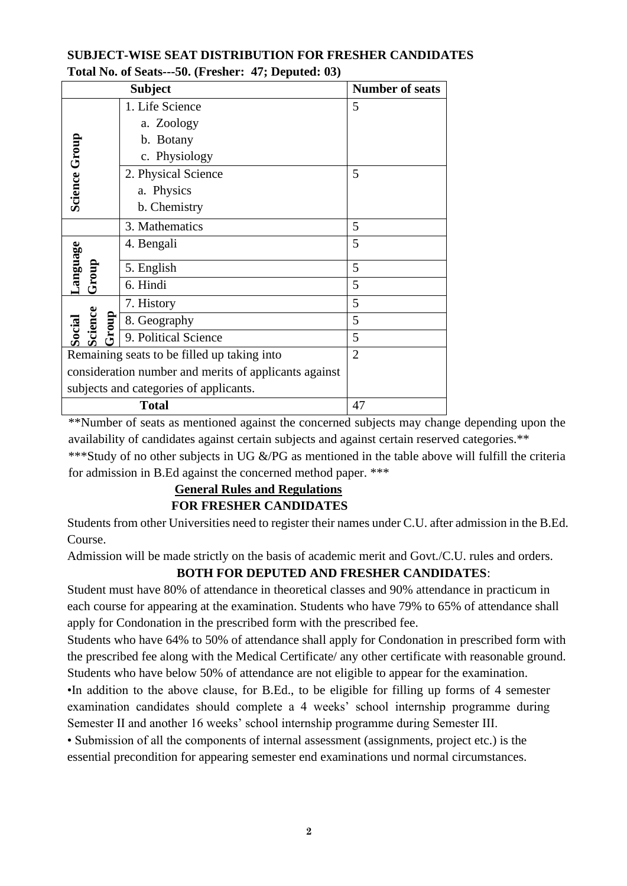### **SUBJECT-WISE SEAT DISTRIBUTION FOR FRESHER CANDIDATES Total No. of Seats---50. (Fresher: 47; Deputed: 03)**

| <b>Subject</b>                                        |                      | <b>Number of seats</b> |  |
|-------------------------------------------------------|----------------------|------------------------|--|
|                                                       | 1. Life Science      | 5                      |  |
|                                                       | a. Zoology           |                        |  |
|                                                       | b. Botany            |                        |  |
| <b>Science Group</b>                                  | c. Physiology        |                        |  |
|                                                       | 2. Physical Science  | 5                      |  |
|                                                       | a. Physics           |                        |  |
|                                                       | b. Chemistry         |                        |  |
|                                                       | 3. Mathematics       | 5                      |  |
| <b>Language</b>                                       | 4. Bengali           | 5                      |  |
| Group                                                 | 5. English           | 5                      |  |
|                                                       | 6. Hindi             | 5                      |  |
|                                                       | 7. History           | 5                      |  |
| Science<br>Group                                      | 8. Geography         | 5                      |  |
| Social                                                | 9. Political Science | 5                      |  |
| Remaining seats to be filled up taking into           |                      | $\overline{2}$         |  |
| consideration number and merits of applicants against |                      |                        |  |
| subjects and categories of applicants.                |                      |                        |  |
| <b>Total</b>                                          |                      | 47                     |  |

\*\*Number of seats as mentioned against the concerned subjects may change depending upon the availability of candidates against certain subjects and against certain reserved categories.\*\* \*\*\*Study of no other subjects in UG &/PG as mentioned in the table above will fulfill the criteria for admission in B.Ed against the concerned method paper. \*\*\*

## **General Rules and Regulations FOR FRESHER CANDIDATES**

Students from other Universities need to register their names under C.U. after admission in the B.Ed. Course.

Admission will be made strictly on the basis of academic merit and Govt./C.U. rules and orders.

## **BOTH FOR DEPUTED AND FRESHER CANDIDATES**:

Student must have 80% of attendance in theoretical classes and 90% attendance in practicum in each course for appearing at the examination. Students who have 79% to 65% of attendance shall apply for Condonation in the prescribed form with the prescribed fee.

Students who have 64% to 50% of attendance shall apply for Condonation in prescribed form with the prescribed fee along with the Medical Certificate/ any other certificate with reasonable ground. Students who have below 50% of attendance are not eligible to appear for the examination. •In addition to the above clause, for B.Ed., to be eligible for filling up forms of 4 semester examination candidates should complete a 4 weeks' school internship programme during

Semester II and another 16 weeks' school internship programme during Semester III.

• Submission of all the components of internal assessment (assignments, project etc.) is the essential precondition for appearing semester end examinations und normal circumstances.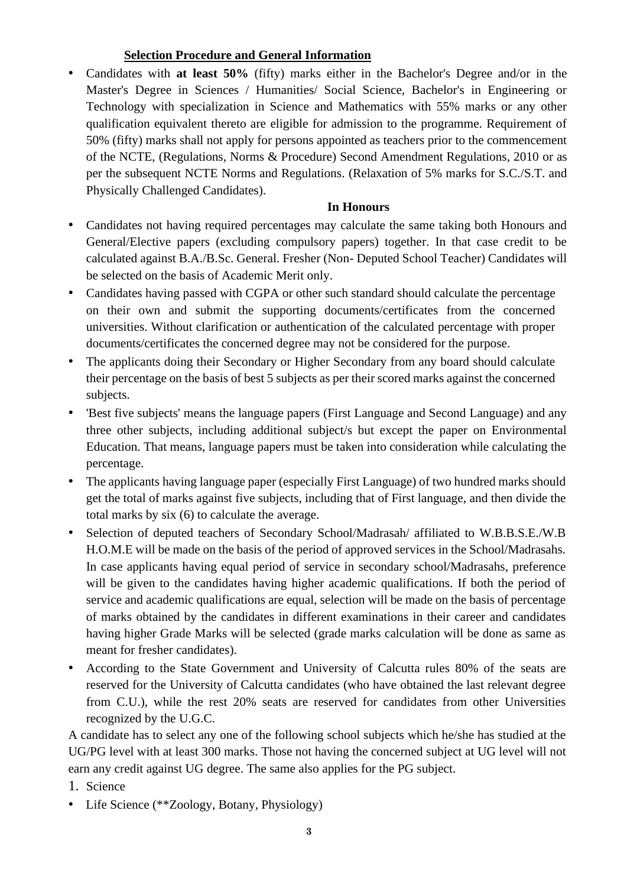#### **Selection Procedure and General Information**

• Candidates with **at least 50%** (fifty) marks either in the Bachelor's Degree and/or in the Master's Degree in Sciences / Humanities/ Social Science, Bachelor's in Engineering or Technology with specialization in Science and Mathematics with 55% marks or any other qualification equivalent thereto are eligible for admission to the programme. Requirement of 50% (fifty) marks shall not apply for persons appointed as teachers prior to the commencement of the NCTE, (Regulations, Norms & Procedure) Second Amendment Regulations, 2010 or as per the subsequent NCTE Norms and Regulations. (Relaxation of 5% marks for S.C./S.T. and Physically Challenged Candidates).

### **In Honours**

- Candidates not having required percentages may calculate the same taking both Honours and General/Elective papers (excluding compulsory papers) together. In that case credit to be calculated against B.A./B.Sc. General. Fresher (Non- Deputed School Teacher) Candidates will be selected on the basis of Academic Merit only.
- Candidates having passed with CGPA or other such standard should calculate the percentage on their own and submit the supporting documents/certificates from the concerned universities. Without clarification or authentication of the calculated percentage with proper documents/certificates the concerned degree may not be considered for the purpose.
- The applicants doing their Secondary or Higher Secondary from any board should calculate their percentage on the basis of best 5 subjects as per their scored marks against the concerned subjects.
- 'Best five subjects' means the language papers (First Language and Second Language) and any three other subjects, including additional subject/s but except the paper on Environmental Education. That means, language papers must be taken into consideration while calculating the percentage.
- The applicants having language paper (especially First Language) of two hundred marks should get the total of marks against five subjects, including that of First language, and then divide the total marks by six (6) to calculate the average.
- Selection of deputed teachers of Secondary School/Madrasah/ affiliated to W.B.B.S.E./W.B H.O.M.E will be made on the basis of the period of approved services in the School/Madrasahs. In case applicants having equal period of service in secondary school/Madrasahs, preference will be given to the candidates having higher academic qualifications. If both the period of service and academic qualifications are equal, selection will be made on the basis of percentage of marks obtained by the candidates in different examinations in their career and candidates having higher Grade Marks will be selected (grade marks calculation will be done as same as meant for fresher candidates).
- According to the State Government and University of Calcutta rules 80% of the seats are reserved for the University of Calcutta candidates (who have obtained the last relevant degree from C.U.), while the rest 20% seats are reserved for candidates from other Universities recognized by the U.G.C.

A candidate has to select any one of the following school subjects which he/she has studied at the UG/PG level with at least 300 marks. Those not having the concerned subject at UG level will not earn any credit against UG degree. The same also applies for the PG subject.

- 1. Science
- Life Science (\*\* Zoology, Botany, Physiology)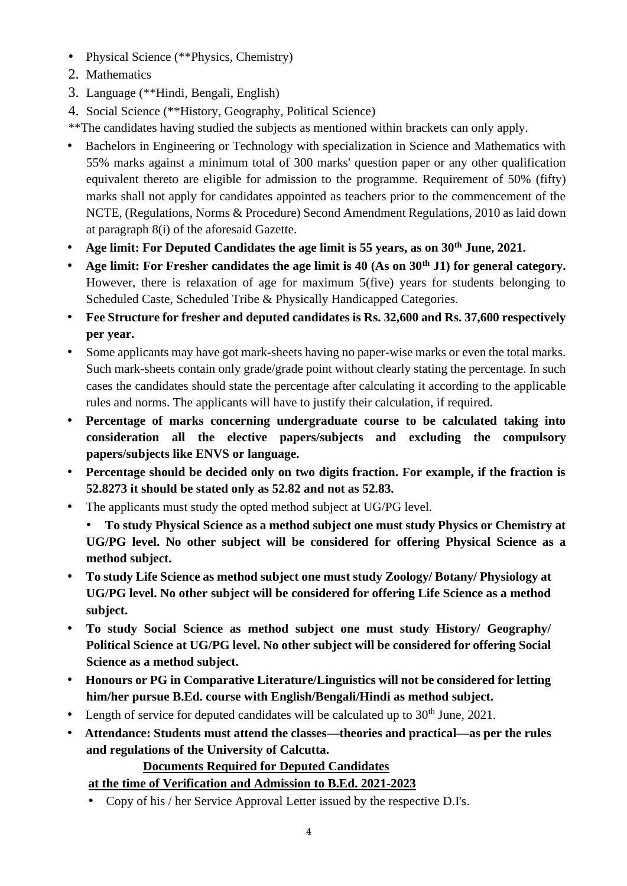- Physical Science (\*\*Physics, Chemistry)
- 2. Mathematics
- 3. Language (\*\*Hindi, Bengali, English)
- 4. Social Science (\*\*History, Geography, Political Science)
- \*\*The candidates having studied the subjects as mentioned within brackets can only apply.
- Bachelors in Engineering or Technology with specialization in Science and Mathematics with 55% marks against a minimum total of 300 marks' question paper or any other qualification equivalent thereto are eligible for admission to the programme. Requirement of 50% (fifty) marks shall not apply for candidates appointed as teachers prior to the commencement of the NCTE, (Regulations, Norms & Procedure) Second Amendment Regulations, 2010 as laid down at paragraph 8(i) of the aforesaid Gazette.
- **Age limit: For Deputed Candidates the age limit is 55 years, as on 30th June, 2021.**
- **Age limit: For Fresher candidates the age limit is 40 (As on 30th J1) for general category.** However, there is relaxation of age for maximum 5(five) years for students belonging to Scheduled Caste, Scheduled Tribe & Physically Handicapped Categories.
- **Fee Structure for fresher and deputed candidates is Rs. 32,600 and Rs. 37,600 respectively per year.**
- Some applicants may have got mark-sheets having no paper-wise marks or even the total marks. Such mark-sheets contain only grade/grade point without clearly stating the percentage. In such cases the candidates should state the percentage after calculating it according to the applicable rules and norms. The applicants will have to justify their calculation, if required.
- **Percentage of marks concerning undergraduate course to be calculated taking into consideration all the elective papers/subjects and excluding the compulsory papers/subjects like ENVS or language.**
- **Percentage should be decided only on two digits fraction. For example, if the fraction is 52.8273 it should be stated only as 52.82 and not as 52.83.**
- The applicants must study the opted method subject at UG/PG level.
	- **To study Physical Science as a method subject one must study Physics or Chemistry at UG/PG level. No other subject will be considered for offering Physical Science as a method subject.**
- **To study Life Science as method subject one must study Zoology/ Botany/ Physiology at UG/PG level. No other subject will be considered for offering Life Science as a method subject.**
- **To study Social Science as method subject one must study History/ Geography/ Political Science at UG/PG level. No other subject will be considered for offering Social Science as a method subject.**
- **Honours or PG in Comparative Literature/Linguistics will not be considered for letting him/her pursue B.Ed. course with English/Bengali/Hindi as method subject.**
- Length of service for deputed candidates will be calculated up to  $30<sup>th</sup>$  June, 2021.
- **Attendance: Students must attend the classes—theories and practical—as per the rules and regulations of the University of Calcutta.**

# **Documents Required for Deputed Candidates**

# **at the time of Verification and Admission to B.Ed. 2021-2023**

• Copy of his / her Service Approval Letter issued by the respective D.I's.